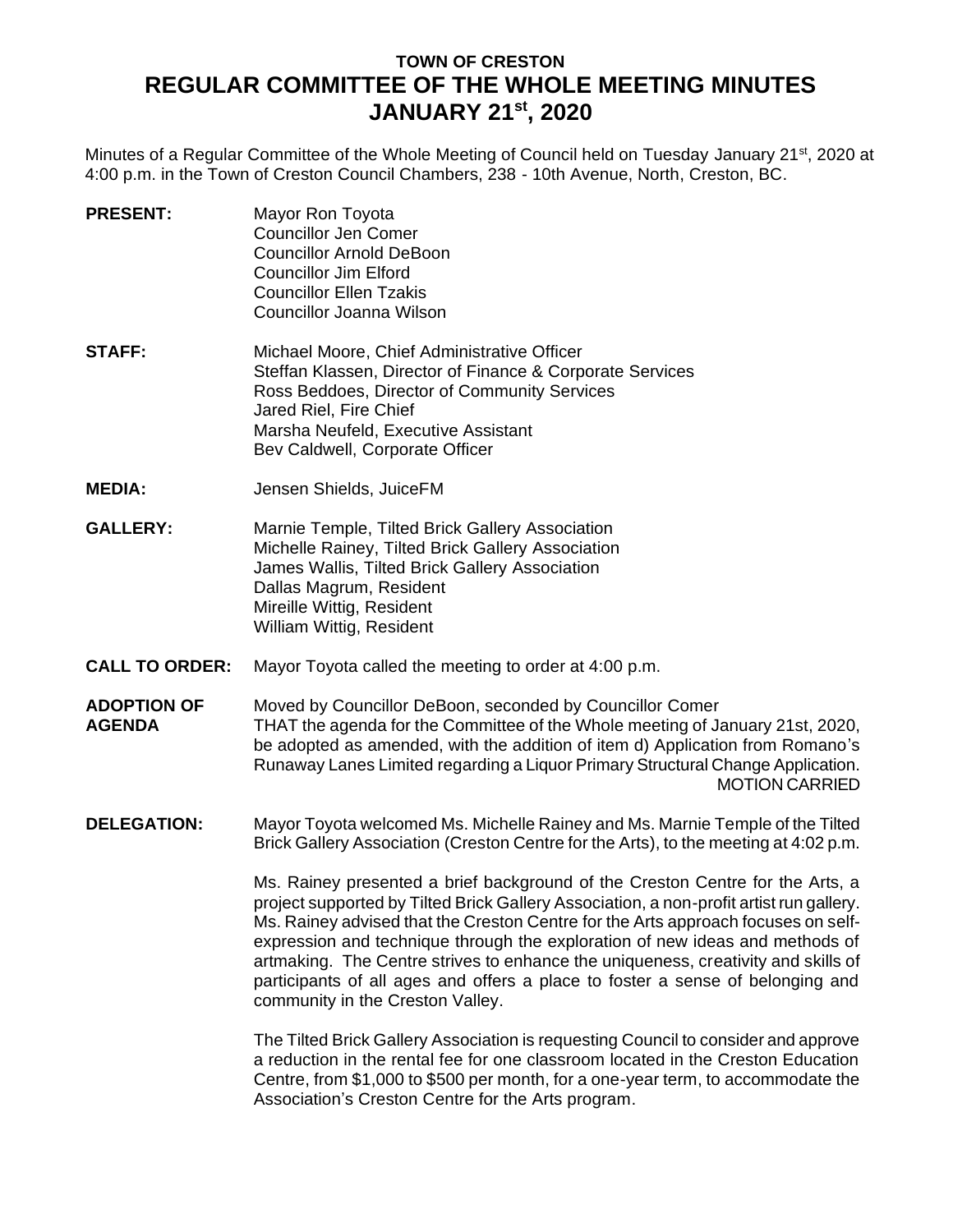# **TOWN OF CRESTON REGULAR COMMITTEE OF THE WHOLE MEETING MINUTES JANUARY 21st , 2020**

Minutes of a Regular Committee of the Whole Meeting of Council held on Tuesday January 21<sup>st</sup>, 2020 at 4:00 p.m. in the Town of Creston Council Chambers, 238 - 10th Avenue, North, Creston, BC.

- **PRESENT:** Mayor Ron Toyota Councillor Jen Comer Councillor Arnold DeBoon Councillor Jim Elford Councillor Ellen Tzakis Councillor Joanna Wilson **STAFF:** Michael Moore, Chief Administrative Officer Steffan Klassen, Director of Finance & Corporate Services
	- Ross Beddoes, Director of Community Services Jared Riel, Fire Chief Marsha Neufeld, Executive Assistant Bev Caldwell, Corporate Officer
- **MEDIA:** Jensen Shields, JuiceFM
- **GALLERY:** Marnie Temple, Tilted Brick Gallery Association Michelle Rainey, Tilted Brick Gallery Association James Wallis, Tilted Brick Gallery Association Dallas Magrum, Resident Mireille Wittig, Resident William Wittig, Resident
- **CALL TO ORDER:** Mayor Toyota called the meeting to order at 4:00 p.m.
- **ADOPTION OF AGENDA** Moved by Councillor DeBoon, seconded by Councillor Comer THAT the agenda for the Committee of the Whole meeting of January 21st, 2020, be adopted as amended, with the addition of item d) Application from Romano's Runaway Lanes Limited regarding a Liquor Primary Structural Change Application. MOTION CARRIED
- **DELEGATION:** Mayor Toyota welcomed Ms. Michelle Rainey and Ms. Marnie Temple of the Tilted Brick Gallery Association (Creston Centre for the Arts), to the meeting at 4:02 p.m.

Ms. Rainey presented a brief background of the Creston Centre for the Arts, a project supported by Tilted Brick Gallery Association, a non-profit artist run gallery. Ms. Rainey advised that the Creston Centre for the Arts approach focuses on selfexpression and technique through the exploration of new ideas and methods of artmaking. The Centre strives to enhance the uniqueness, creativity and skills of participants of all ages and offers a place to foster a sense of belonging and community in the Creston Valley.

The Tilted Brick Gallery Association is requesting Council to consider and approve a reduction in the rental fee for one classroom located in the Creston Education Centre, from \$1,000 to \$500 per month, for a one-year term, to accommodate the Association's Creston Centre for the Arts program.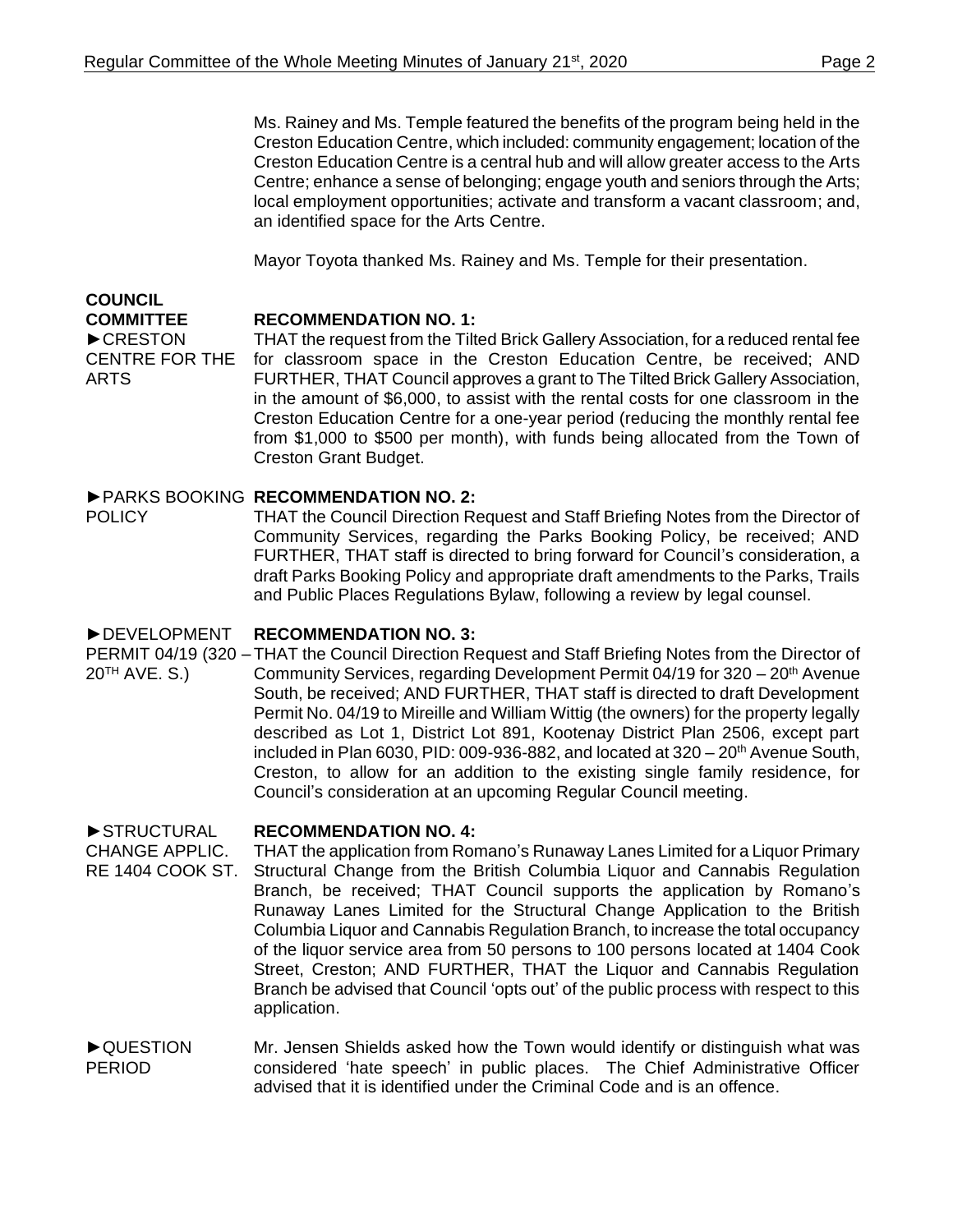Ms. Rainey and Ms. Temple featured the benefits of the program being held in the Creston Education Centre, which included: community engagement; location of the Creston Education Centre is a central hub and will allow greater access to the Arts Centre; enhance a sense of belonging; engage youth and seniors through the Arts; local employment opportunities; activate and transform a vacant classroom; and, an identified space for the Arts Centre.

Mayor Toyota thanked Ms. Rainey and Ms. Temple for their presentation.

### **COUNCIL COMMITTEE**

ARTS

**RECOMMENDATION NO. 1:**

►CRESTON CENTRE FOR THE THAT the request from the Tilted Brick Gallery Association, for a reduced rental fee for classroom space in the Creston Education Centre, be received; AND FURTHER, THAT Council approves a grant to The Tilted Brick Gallery Association, in the amount of \$6,000, to assist with the rental costs for one classroom in the Creston Education Centre for a one-year period (reducing the monthly rental fee from \$1,000 to \$500 per month), with funds being allocated from the Town of Creston Grant Budget.

## ►PARKS BOOKING **RECOMMENDATION NO. 2:**

**POLICY** THAT the Council Direction Request and Staff Briefing Notes from the Director of Community Services, regarding the Parks Booking Policy, be received; AND FURTHER, THAT staff is directed to bring forward for Council's consideration, a draft Parks Booking Policy and appropriate draft amendments to the Parks, Trails and Public Places Regulations Bylaw, following a review by legal counsel.

### ►DEVELOPMENT **RECOMMENDATION NO. 3:**

PERMIT 04/19 (320 - THAT the Council Direction Request and Staff Briefing Notes from the Director of  $20^{TH}$  AVE. S.) Community Services, regarding Development Permit 04/19 for  $320 - 20<sup>th</sup>$  Avenue South, be received; AND FURTHER, THAT staff is directed to draft Development Permit No. 04/19 to Mireille and William Wittig (the owners) for the property legally described as Lot 1, District Lot 891, Kootenay District Plan 2506, except part included in Plan 6030, PID: 009-936-882, and located at  $320 - 20$ <sup>th</sup> Avenue South, Creston, to allow for an addition to the existing single family residence, for Council's consideration at an upcoming Regular Council meeting.

### ►STRUCTURAL **RECOMMENDATION NO. 4:**

- CHANGE APPLIC. RE 1404 COOK ST. THAT the application from Romano's Runaway Lanes Limited for a Liquor Primary Structural Change from the British Columbia Liquor and Cannabis Regulation Branch, be received; THAT Council supports the application by Romano's Runaway Lanes Limited for the Structural Change Application to the British Columbia Liquor and Cannabis Regulation Branch, to increase the total occupancy of the liquor service area from 50 persons to 100 persons located at 1404 Cook Street, Creston; AND FURTHER, THAT the Liquor and Cannabis Regulation Branch be advised that Council 'opts out' of the public process with respect to this application.
- ►QUESTION PERIOD Mr. Jensen Shields asked how the Town would identify or distinguish what was considered 'hate speech' in public places. The Chief Administrative Officer advised that it is identified under the Criminal Code and is an offence.